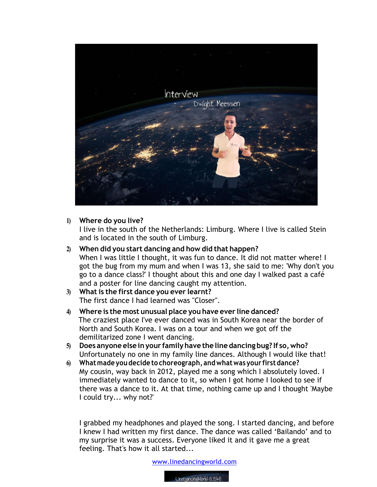

## **1) Where do you live?**

I live in the south of the Netherlands: Limburg. Where I live is called Stein and is located in the south of Limburg.

- **2) When did you start dancing and how did that happen?** When I was little I thought, it was fun to dance. It did not matter where! I got the bug from my mum and when I was 13, she said to me: 'Why don't you go to a dance class?' I thought about this and one day I walked past a café and a poster for line dancing caught my attention.
- **3) What is the first dance you ever learnt?** The first dance I had learned was "Closer".
- **4) Where is the most unusual place you have ever line danced?** The craziest place I've ever danced was in South Korea near the border of North and South Korea. I was on a tour and when we got off the demilitarized zone I went dancing.
- **5) Does anyone else inyour familyhave the line dancing bug? If so,who?** Unfortunately no one in my family line dances. Although I would like that!
- **6) Whatmade you decide to choreograph, andwhatwas your firstdance?**  My cousin, way back in 2012, played me a song which I absolutely loved. I immediately wanted to dance to it, so when I got home I looked to see if there was a dance to it. At that time, nothing came up and I thought 'Maybe I could try... why not?'

I grabbed my headphones and played the song. I started dancing, and before I knew I had written my first dance. The dance was called 'Bailando' and to my surprise it was a success. Everyone liked it and it gave me a great feeling. That's how it all started...

www.linedancingworld.com